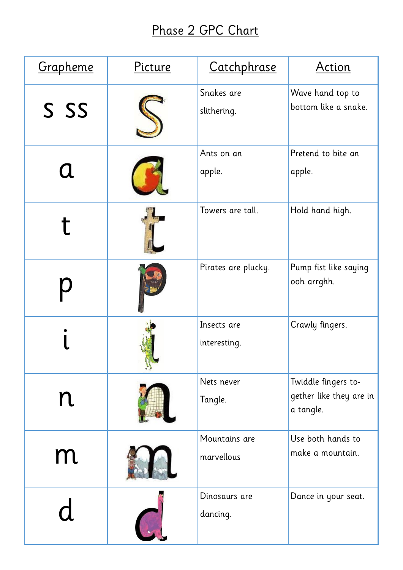## Phase 2 GPC Chart

| Grapheme | Picture | Catchphrase                 | <b>Action</b>                                               |
|----------|---------|-----------------------------|-------------------------------------------------------------|
| S SS     |         | Snakes are<br>slithering.   | Wave hand top to<br>bottom like a snake.                    |
|          |         | Ants on an<br>apple.        | Pretend to bite an<br>apple.                                |
|          |         | Towers are tall.            | Hold hand high.                                             |
|          |         | Pirates are plucky.         | Pump fist like saying<br>ooh arrghh.                        |
|          |         | Insects are<br>interesting. | Crawly fingers.                                             |
|          |         | Nets never<br>Tangle.       | Twiddle fingers to-<br>gether like they are in<br>a tangle. |
| m        |         | Mountains are<br>marvellous | Use both hands to<br>make a mountain.                       |
|          |         | Dinosaurs are<br>dancing.   | Dance in your seat.                                         |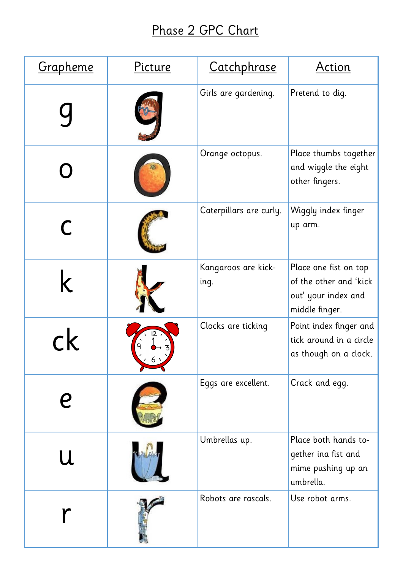## Phase 2 GPC Chart

| <u>Grapheme</u> | Picture | Catchphrase                 | <u>Action</u>                                                                            |
|-----------------|---------|-----------------------------|------------------------------------------------------------------------------------------|
|                 |         | Girls are gardening.        | Pretend to dig.                                                                          |
|                 |         | Orange octopus.             | Place thumbs together<br>and wiggle the eight<br>other fingers.                          |
|                 |         | Caterpillars are curly.     | Wiggly index finger<br>up arm.                                                           |
|                 |         | Kangaroos are kick-<br>ing. | Place one fist on top<br>of the other and 'kick<br>out' your index and<br>middle finger. |
|                 |         | Clocks are ticking          | Point index finger and<br>tick around in a circle<br>as though on a clock.               |
|                 |         | Eggs are excellent.         | Crack and egg.                                                                           |
| U               |         | Umbrellas up.               | Place both hands to-<br>gether ina fist and<br>mime pushing up an<br>umbrella.           |
|                 |         | Robots are rascals.         | Use robot arms.                                                                          |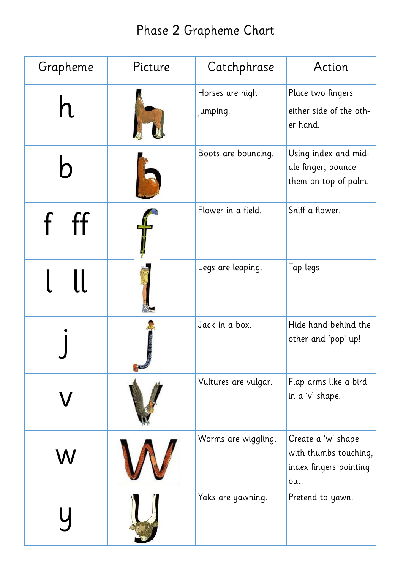## Phase 2 Grapheme Chart

| Grapheme | Picture | Catchphrase                 | <b>Action</b>                                                                 |
|----------|---------|-----------------------------|-------------------------------------------------------------------------------|
|          |         | Horses are high<br>jumping. | Place two fingers<br>either side of the oth-<br>er hand.                      |
|          |         | Boots are bouncing.         | Using index and mid-<br>dle finger, bounce<br>them on top of palm.            |
|          |         | Flower in a field.          | Sniff a flower.                                                               |
|          |         | Legs are leaping.           | Tap legs                                                                      |
|          |         | Jack in a box.              | Hide hand behind the<br>other and 'pop' up!                                   |
|          |         | Vultures are vulgar.        | Flap arms like a bird<br>in a 'v' shape.                                      |
|          |         | Worms are wiggling.         | Create a 'w' shape<br>with thumbs touching,<br>index fingers pointing<br>out. |
|          |         | Yaks are yawning.           | Pretend to yawn.                                                              |